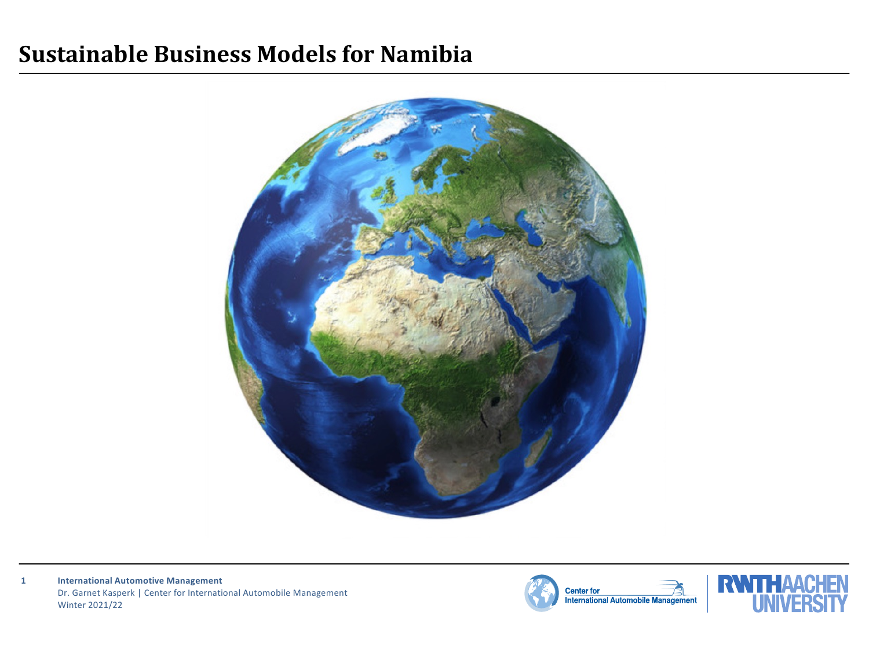#### **Sustainable Business Models for Namibia**





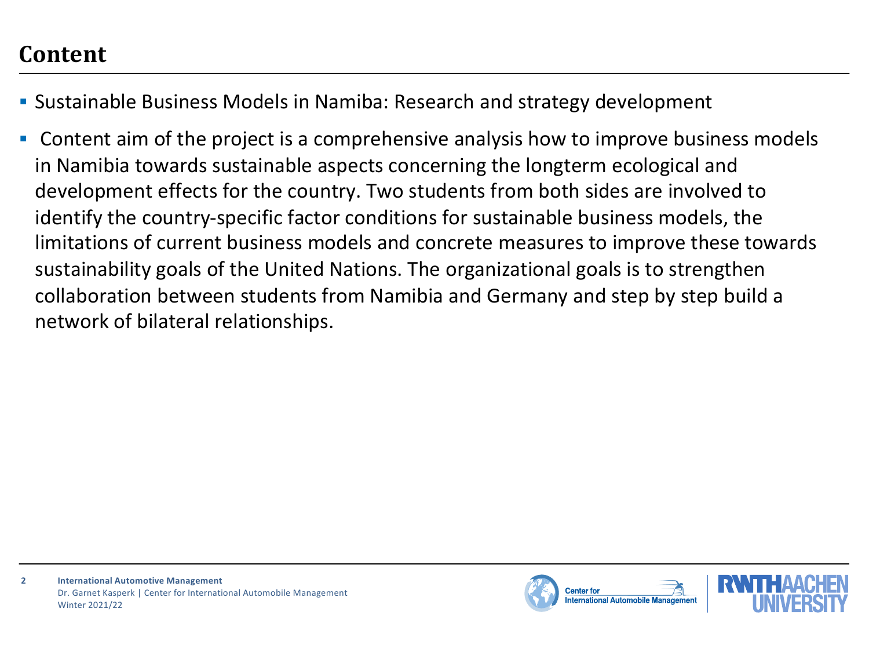#### **Content**

- § Sustainable Business Models in Namiba: Research and strategy development
- § Content aim of the project is a comprehensive analysis how to improve business models in Namibia towards sustainable aspects concerning the longterm ecological and development effects for the country. Two students from both sides are involved to identify the country-specific factor conditions for sustainable business models, the limitations of current business models and concrete measures to improve these towards sustainability goals of the United Nations. The organizational goals is to strengthen collaboration between students from Namibia and Germany and step by step build a network of bilateral relationships.

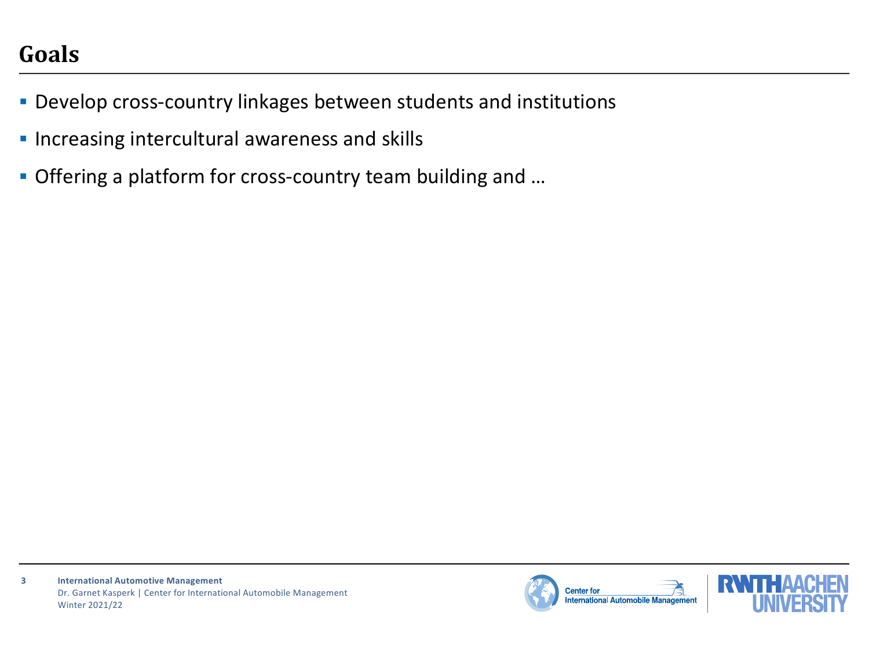# **Goals**

- § Develop cross-country linkages between students and institutions
- § Increasing intercultural awareness and skills
- § Offering a platform for cross-country team building and …



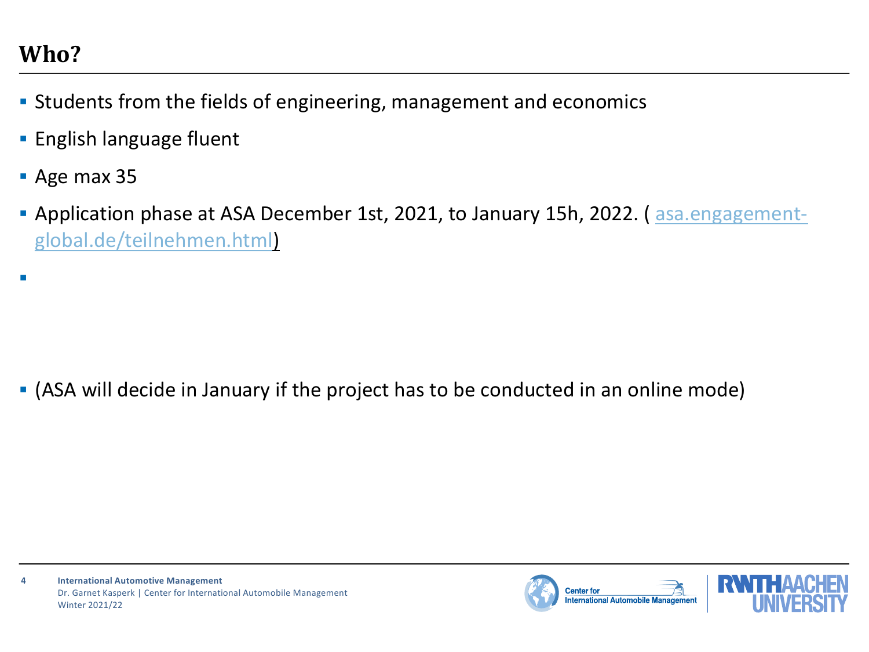# **Who?**

§

- § Students from the fields of engineering, management and economics
- **English language fluent**
- § Age max 35
- **Application phase at ASA December 1st, 2021, to January 15h, 2022. (asa.engagement**[global.de/teilnehmen.html\)](x-webdoc://CB0D8EC8-F7D6-40E0-8FC4-DBB838E78F80/asa.engagement-global.de/teilnehmen.html)

§ (ASA will decide in January if the project has to be conducted in an online mode)



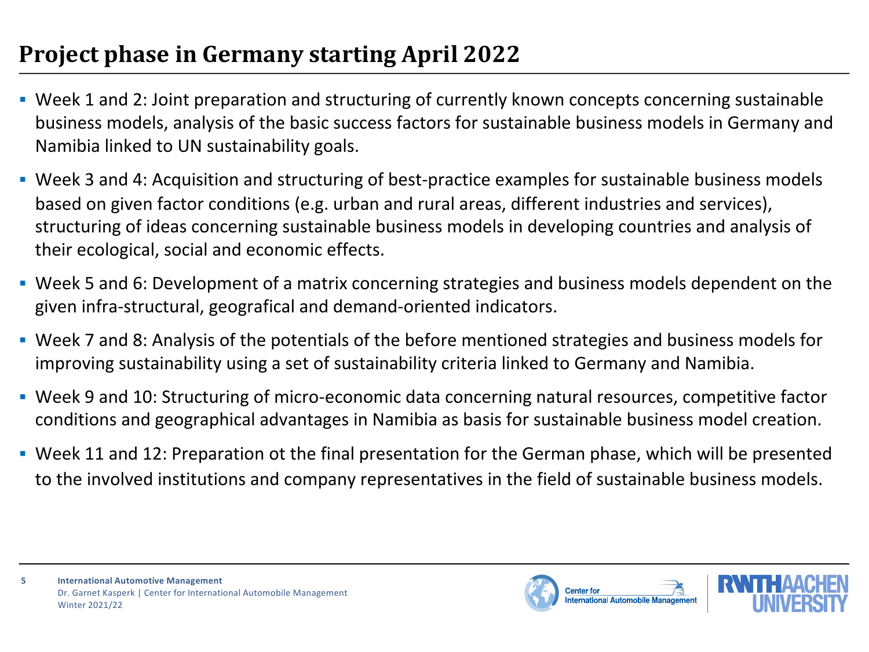# **Project phase in Germany starting April 2022**

- § Week 1 and 2: Joint preparation and structuring of currently known concepts concerning sustainable business models, analysis of the basic success factors for sustainable business models in Germany and Namibia linked to UN sustainability goals.
- Week 3 and 4: Acquisition and structuring of best-practice examples for sustainable business models based on given factor conditions (e.g. urban and rural areas, different industries and services), structuring of ideas concerning sustainable business models in developing countries and analysis of their ecological, social and economic effects.
- § Week 5 and 6: Development of a matrix concerning strategies and business models dependent on the given infra-structural, geografical and demand-oriented indicators.
- § Week 7 and 8: Analysis of the potentials of the before mentioned strategies and business models for improving sustainability using a set of sustainability criteria linked to Germany and Namibia.
- Week 9 and 10: Structuring of micro-economic data concerning natural resources, competitive factor conditions and geographical advantages in Namibia as basis for sustainable business model creation.
- § Week 11 and 12: Preparation ot the final presentation for the German phase, which will be presented to the involved institutions and company representatives in the field of sustainable business models.



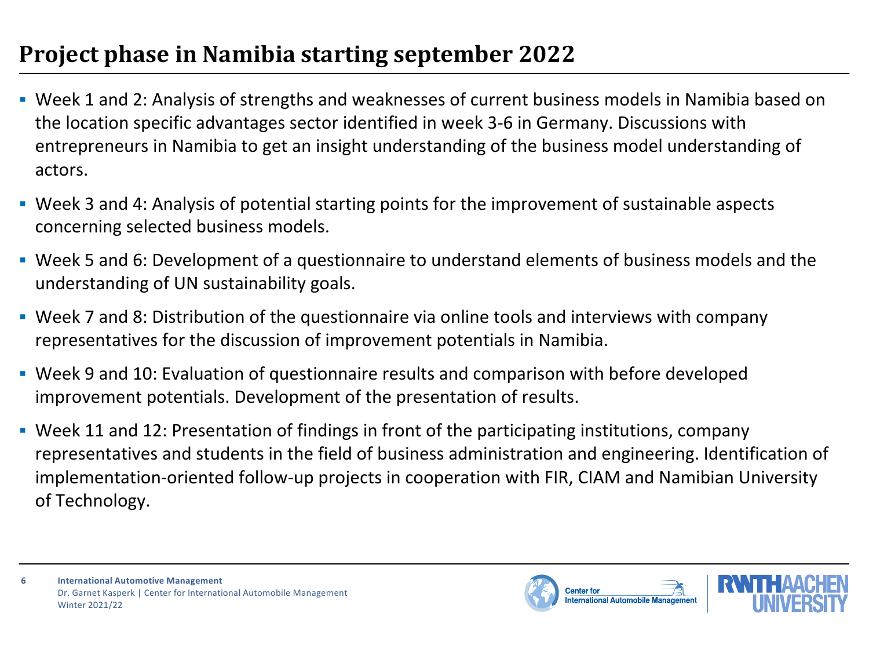## **Project phase in Namibia starting september 2022**

- § Week 1 and 2: Analysis of strengths and weaknesses of current business models in Namibia based on the location specific advantages sector identified in week 3-6 in Germany. Discussions with entrepreneurs in Namibia to get an insight understanding of the business model understanding of actors.
- § Week 3 and 4: Analysis of potential starting points for the improvement of sustainable aspects concerning selected business models.
- § Week 5 and 6: Development of a questionnaire to understand elements of business models and the understanding of UN sustainability goals.
- § Week 7 and 8: Distribution of the questionnaire via online tools and interviews with company representatives for the discussion of improvement potentials in Namibia.
- § Week 9 and 10: Evaluation of questionnaire results and comparison with before developed improvement potentials. Development of the presentation of results.
- § Week 11 and 12: Presentation of findings in front of the participating institutions, company representatives and students in the field of business administration and engineering. Identification of implementation-oriented follow-up projects in cooperation with FIR, CIAM and Namibian University of Technology.



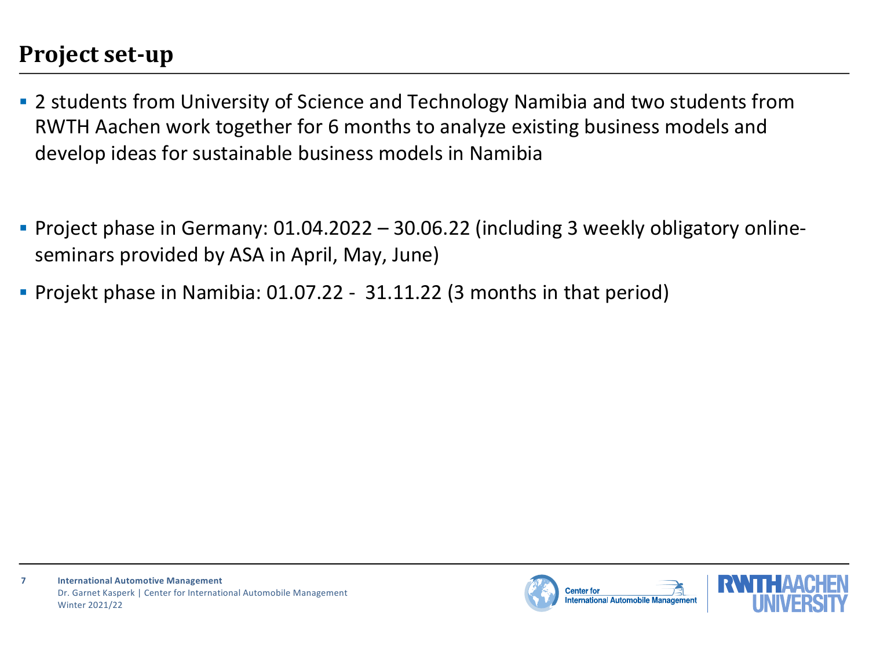### **Project set-up**

- 2 students from University of Science and Technology Namibia and two students from RWTH Aachen work together for 6 months to analyze existing business models and develop ideas for sustainable business models in Namibia
- § Project phase in Germany: 01.04.2022 30.06.22 (including 3 weekly obligatory onlineseminars provided by ASA in April, May, June)
- § Projekt phase in Namibia: 01.07.22 31.11.22 (3 months in that period)



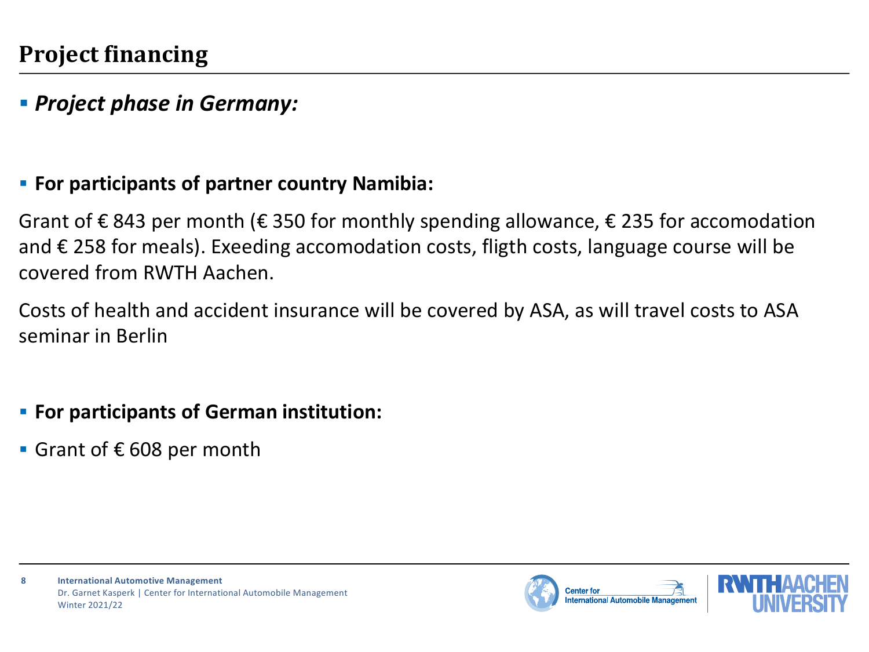#### § *Project phase in Germany:*

#### § **For participants of partner country Namibia:**

Grant of  $\epsilon$  843 per month ( $\epsilon$  350 for monthly spending allowance,  $\epsilon$  235 for accomodation and  $\epsilon$  258 for meals). Exeeding accomodation costs, fligth costs, language course will be covered from RWTH Aachen.

Costs of health and accident insurance will be covered by ASA, as will travel costs to ASA seminar in Berlin

- § **For participants of German institution:**
- Grant of  $€$  608 per month